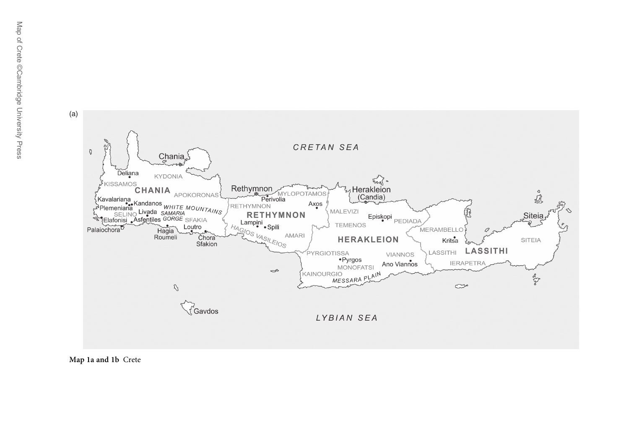



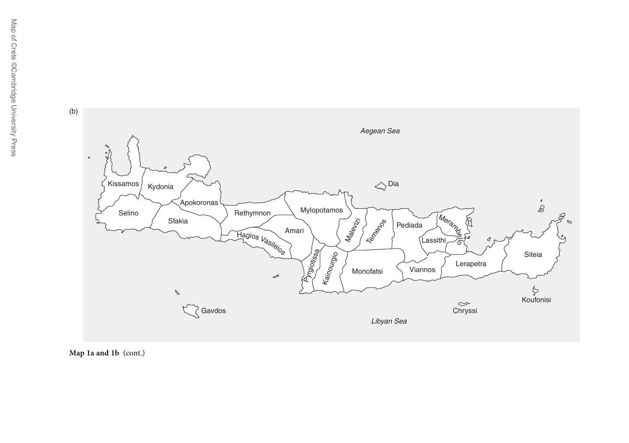

Map 1a and 1b (cont.)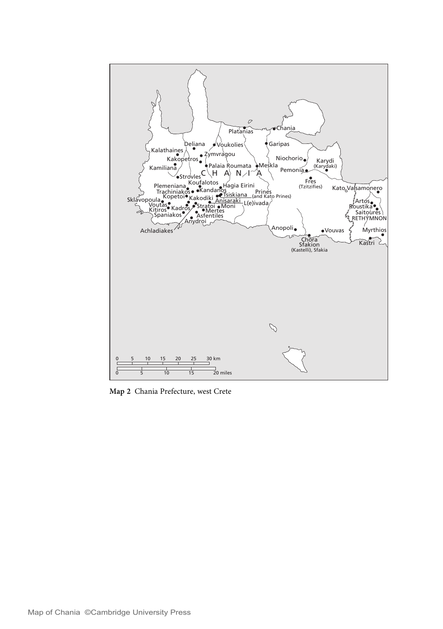

Map 2 Chania Prefecture, west Crete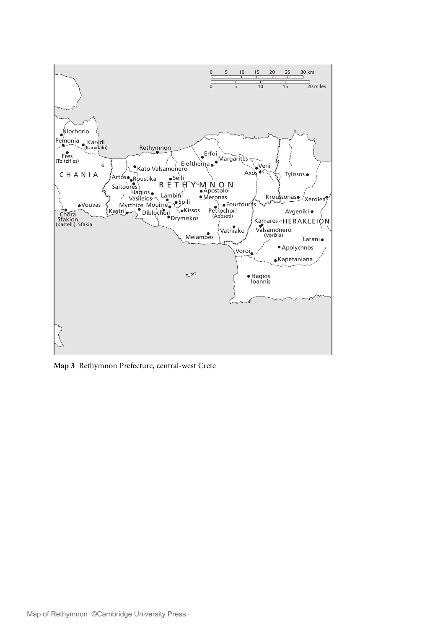

Map 3 Rethymnon Prefecture, central-west Crete